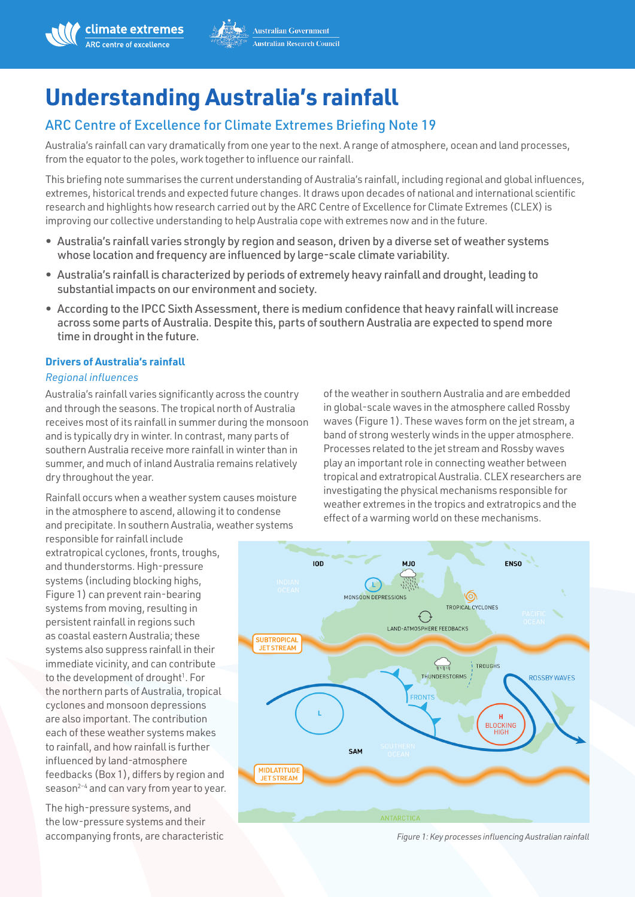

# **Understanding Australia's rainfall**

## ARC Centre of Excellence for Climate Extremes Briefing Note 19

Australia's rainfall can vary dramatically from one year to the next. A range of atmosphere, ocean and land processes, from the equator to the poles, work together to influence our rainfall.

This briefing note summarises the current understanding of Australia's rainfall, including regional and global influences, extremes, historical trends and expected future changes. It draws upon decades of national and international scientific research and highlights how research carried out by the ARC Centre of Excellence for Climate Extremes (CLEX) is improving our collective understanding to help Australia cope with extremes now and in the future.

- Australia's rainfall varies strongly by region and season, driven by a diverse set of weather systems whose location and frequency are influenced by large-scale climate variability.
- Australia's rainfall is characterized by periods of extremely heavy rainfall and drought, leading to substantial impacts on our environment and society.
- According to the IPCC Sixth Assessment, there is medium confidence that heavy rainfall will increase across some parts of Australia. Despite this, parts of southern Australia are expected to spend more time in drought in the future.

## **Drivers of Australia's rainfall**

## *Regional influences*

Australia's rainfall varies significantly across the country and through the seasons. The tropical north of Australia receives most of its rainfall in summer during the monsoon and is typically dry in winter. In contrast, many parts of southern Australia receive more rainfall in winter than in summer, and much of inland Australia remains relatively dry throughout the year.

Rainfall occurs when a weather system causes moisture in the atmosphere to ascend, allowing it to condense and precipitate. In southern Australia, weather systems

responsible for rainfall include extratropical cyclones, fronts, troughs, and thunderstorms. High-pressure systems (including blocking highs, Figure 1) can prevent rain-bearing systems from moving, resulting in persistent rainfall in regions such as coastal eastern Australia; these systems also suppress rainfall in their immediate vicinity, and can contribute to the development of drought<sup>1</sup>. For the northern parts of Australia, tropical cyclones and monsoon depressions are also important. The contribution each of these weather systems makes to rainfall, and how rainfall is further influenced by land-atmosphere feedbacks (Box 1), differs by region and season<sup>2-4</sup> and can vary from year to year.

The high-pressure systems, and the low-pressure systems and their accompanying fronts, are characteristic

of the weather in southern Australia and are embedded in global-scale waves in the atmosphere called Rossby waves (Figure 1). These waves form on the jet stream, a band of strong westerly winds in the upper atmosphere. Processes related to the jet stream and Rossby waves play an important role in connecting weather between tropical and extratropical Australia. CLEX researchers are investigating the physical mechanisms responsible for weather extremes in the tropics and extratropics and the effect of a warming world on these mechanisms.



*Figure 1: Key processes influencing Australian rainfall*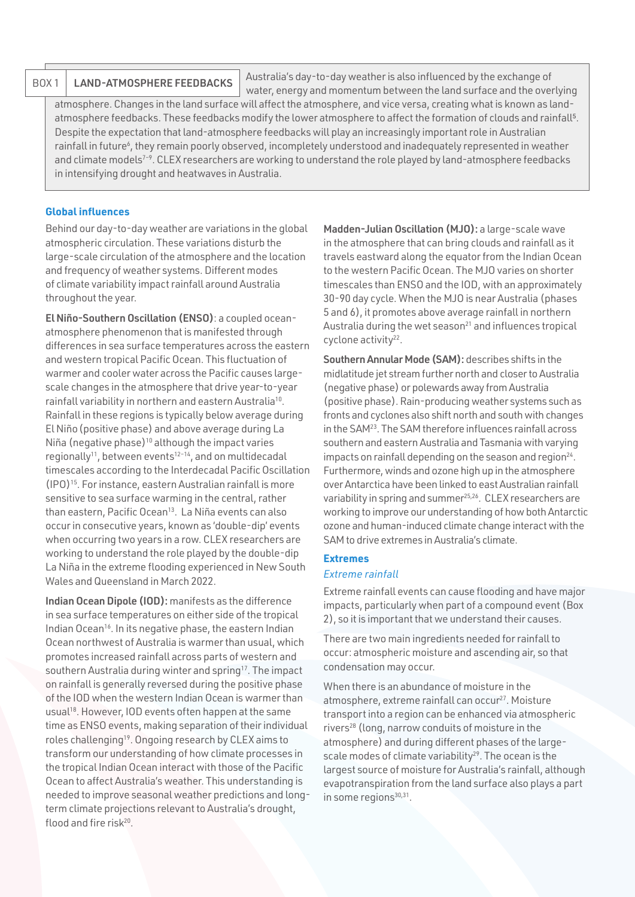## BOX 1 | LAND-ATMOSPHERE FEEDBACKS

water, energy and momentum between the land surface and the overlying atmosphere. Changes in the land surface will affect the atmosphere, and vice versa, creating what is known as landatmosphere feedbacks. These feedbacks modify the lower atmosphere to affect the formation of clouds and rainfall<sup>5</sup>. Despite the expectation that land-atmosphere feedbacks will play an increasingly important role in Australian rainfall in future<sup>6</sup>, they remain poorly observed, incompletely understood and inadequately represented in weather and climate models<sup>7-9</sup>. CLEX researchers are working to understand the role played by land-atmosphere feedbacks in intensifying drought and heatwaves in Australia.

Australia's day-to-day weather is also influenced by the exchange of

## **Global influences**

Behind our day-to-day weather are variations in the global atmospheric circulation. These variations disturb the large-scale circulation of the atmosphere and the location and frequency of weather systems. Different modes of climate variability impact rainfall around Australia throughout the year.

El Niño-Southern Oscillation (ENSO): a coupled oceanatmosphere phenomenon that is manifested through differences in sea surface temperatures across the eastern and western tropical Pacific Ocean. This fluctuation of warmer and cooler water across the Pacific causes largescale changes in the atmosphere that drive year-to-year rainfall variability in northern and eastern Australia<sup>10</sup>. Rainfall in these regions is typically below average during El Niño(positive phase) and above average during La Niña (negative phase)<sup>10</sup> although the impact varies regionally<sup>11</sup>, between events<sup>12-14</sup>, and on multidecadal timescales according to the Interdecadal Pacific Oscillation (IPO[\)15](https://www.zotero.org/google-docs/?XSPqnB). For instance, eastern Australian rainfall is more sensitive to sea surface warming in the central, rather than eastern, Pacific Ocean<sup>13</sup>. La Niña events can also occur in consecutive years, known as 'double-dip' events when occurring two years in a row. CLEX researchers are working to understand the role played by the double-dip La Niña in the extreme flooding experienced in New South Wales and Queensland in March 2022.

Indian Ocean Dipole (IOD): manifests as the difference in sea surface temperatures on either side of the tropical Indian Ocean<sup>16</sup>. In its negative phase, the eastern Indian Ocean northwest of Australia is warmer than usual, which promotes increased rainfall across parts of western and southern Australia during winter and spring<sup>17</sup>. The impact on rainfall is generally reversed during the positive phase of the IOD when the western Indian Ocean is warmer than usual<sup>18</sup>. However, IOD events often happen at the same time as ENSO events, making separation of their individual roles challengin[g19.](https://www.zotero.org/google-docs/?Lq5OeB) Ongoing research by CLEX aims to transform our understanding of how climate processes in the tropical Indian Ocean interact with those of the Pacific Ocean to affect Australia's weather. This understanding is needed to improve seasonal weather predictions and longterm climate projections relevant to Australia's drought, flood and fire risk<sup>20</sup>.

Madden-Julian Oscillation (MJO): a large-scale wave in the atmosphere that can bring clouds and rainfall as it travels eastward along the equator from the Indian Ocean to the western Pacific Ocean. The MJO varies on shorter timescales than ENSO and the IOD, with an approximately 30-90 day cycle. When the MJO is near Australia (phases 5 and 6), it promotes above average rainfall in northern Australia during the wet season $^{21}$  and influences tropical cyclone activity<sup>22</sup>.

Southern Annular Mode (SAM): describes shifts in the midlatitude jet stream further north and closer to Australia (negative phase) or polewards away from Australia (positive phase). Rain-producing weather systems such as fronts and cyclones also shift north and south with changes in the SA[M23](https://www.zotero.org/google-docs/?GHAlH2). The SAM therefore influences rainfall across southern and eastern Australia and Tasmania with varying impacts on rainfall depending on the season and region $24$ . Furthermore, winds and ozone high up in the atmosphere over Antarctica have been linked to east Australian rainfall variability in spring and summer<sup>25,26</sup>. CLEX researchers are working to improve our understanding of how both Antarctic ozone and human-induced climate change interact with the SAM to drive extremes in Australia's climate.

## **Extremes**

## *Extreme rainfall*

Extreme rainfall events can cause flooding and have major impacts, particularly when part of a compound event (Box 2), so it is important that we understand their causes.

There are two main ingredients needed for rainfall to occur: atmospheric moisture and ascending air, so that condensation may occur.

When there is an abundance of moisture in the atmosphere, extreme rainfall can occur<sup>27</sup>. Moisture transport into a region can be enhanced via atmospheric rivers[28](https://www.zotero.org/google-docs/?QSOtB6) (long, narrow conduits of moisture in the atmosphere) and during different phases of the largescale modes of climate variability<sup>29</sup>. The ocean is the largest source of moisture for Australia's rainfall, although evapotranspiration from the land surface also plays a part in some regions $30,31$ .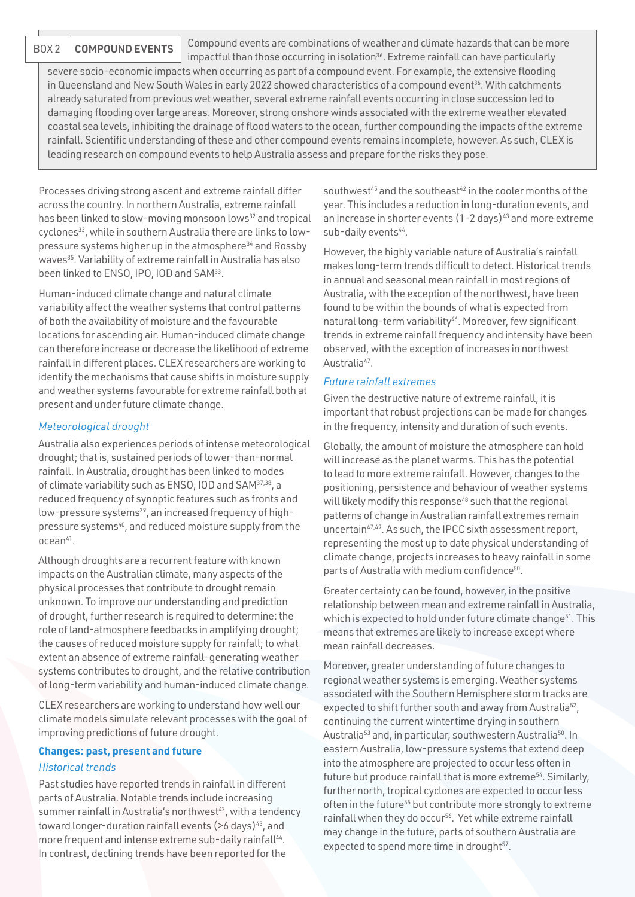BOX 2 COMPOUND EVENTS

Compound events are combinations of weather and climate hazards that can be more

impactful than those occurring in isolation<sup>36</sup>. Extreme rainfall can have particularly severe socio-economic impacts when occurring as part of a compound event. For example, the extensive flooding in Queensland and New South Wales in early 2022 showed characteristics of a compound event<sup>36</sup>. With catchments already saturated from previous wet weather, several extreme rainfall events occurring in close succession led to damaging flooding over large areas. Moreover, strong onshore winds associated with the extreme weather elevated coastal sea levels, inhibiting the drainage of flood waters to the ocean, further compounding the impacts of the extreme rainfall. Scientific understanding of these and other compound events remains incomplete, however. As such, CLEX is leading research on compound events to help Australia assess and prepare for the risks they pose.

Processes driving strong ascent and extreme rainfall differ across the country. In northern Australia, extreme rainfall has been linked to slow-moving monsoon lows<sup>32</sup> and tropical cyclone[s33,](https://www.zotero.org/google-docs/?W93nHE) while in southern Australia there are links to lowpressure systems higher up in the atmosphere<sup>34</sup> and Rossby wave[s35](https://www.zotero.org/google-docs/?NsBiPK). Variability of extreme rainfall in Australia has also been linked to ENSO, IPO, IOD and SA[M33](https://www.zotero.org/google-docs/?7pksfU).

Human-induced climate change and natural climate variability affect the weather systems that control patterns of both the availability of moisture and the favourable locations for ascending air. Human-induced climate change can therefore increase or decrease the likelihood of extreme rainfall in different places. CLEX researchers are working to identify the mechanisms that cause shifts in moisture supply and weather systems favourable for extreme rainfall both at present and under future climate change.

## *Meteorological drought*

Australia also experiences periods of intense meteorological drought; that is, sustained periods of lower-than-normal rainfall. In Australia, drought has been linked to modes of climate variability such as ENSO, IOD and SAM[37,38](https://www.zotero.org/google-docs/?P2Sf4D), a reduced frequency of synoptic features such as fronts and low-pressure systems<sup>39</sup>, an increased frequency of highpressure systems<sup>40</sup>, and reduced moisture supply from the ocean<sup>41</sup>.

Although droughts are a recurrent feature with known impacts on the Australian climate, many aspects of the physical processes that contribute to drought remain unknown. To improve our understanding and prediction of drought, further research is required to determine: the role of land-atmosphere feedbacks in amplifying drought; the causes of reduced moisture supply for rainfall; to what extent an absence of extreme rainfall-generating weather systems contributes to drought, and the relative contribution of long-term variability and human-induced climate change.

CLEX researchers are working to understand how well our climate models simulate relevant processes with the goal of improving predictions of future drought.

## **Changes: past, present and future** *Historical trends*

Past studies have reported trends in rainfall in different parts of Australia. Notable trends include increasing summer rainfall in Australia's northwest<sup>42</sup>, with a tendency toward longer-duration rainfall events (>6 days)<sup>43</sup>, and more frequent and intense extreme sub-daily rainfall<sup>44</sup>. In contrast, declining trends have been reported for the

southwest<sup>45</sup> and the southeast<sup>42</sup> in the cooler months of the year. This includes a reduction in long-duration events, and an increase in shorter events  $(1-2 \text{ days})^{43}$  and more extreme sub-daily events<sup>44</sup>.

However, the highly variable nature of Australia's rainfall makes long-term trends difficult to detect. Historical trends in annual and seasonal mean rainfall in most regions of Australia, with the exception of the northwest, have been found to be within the bounds of what is expected from natural long-term variability<sup>46</sup>. Moreover, few significant trends in extreme rainfall frequency and intensity have been observed, with the exception of increases in northwest Australia<sup>47</sup>.

### *Future rainfall extremes*

Given the destructive nature of extreme rainfall, it is important that robust projections can be made for changes in the frequency, intensity and duration of such events.

Globally, the amount of moisture the atmosphere can hold will increase as the planet warms. This has the potential to lead to more extreme rainfall. However, changes to the positioning, persistence and behaviour of weather systems will likely modify this response<sup>48</sup> such that the regional patterns of change in Australian rainfall extremes remain uncertain<sup>47,49</sup>. As such, the IPCC sixth assessment report, representing the most up to date physical understanding of climate change, projects increases to heavy rainfall in some parts of Australia with medium confidence<sup>50</sup>.

Greater certainty can be found, however, in the positive relationship between mean and extreme rainfall in Australia, which is expected to hold under future climate change<sup>51</sup>. This means that extremes are likely to increase except where mean rainfall decreases.

Moreover, greater understanding of future changes to regional weather systems is emerging. Weather systems associated with the Southern Hemisphere storm tracks are expected to shift further south and away from Australia<sup>52</sup>, continuing the current wintertime drying in southern Australia<sup>53</sup> and, in particular, southwestern Australia<sup>50</sup>. In eastern Australia, low-pressure systems that extend deep into the atmosphere are projected to occur less often in future but produce rainfall that is more extreme<sup>54</sup>. Similarly, further north, tropical cyclones are expected to occur less often in the future<sup>55</sup> but contribute more strongly to extreme rainfall when they do occur<sup>56</sup>. Yet while extreme rainfall may change in the future, parts of southern Australia are expected to spend more time in drought<sup>57</sup>.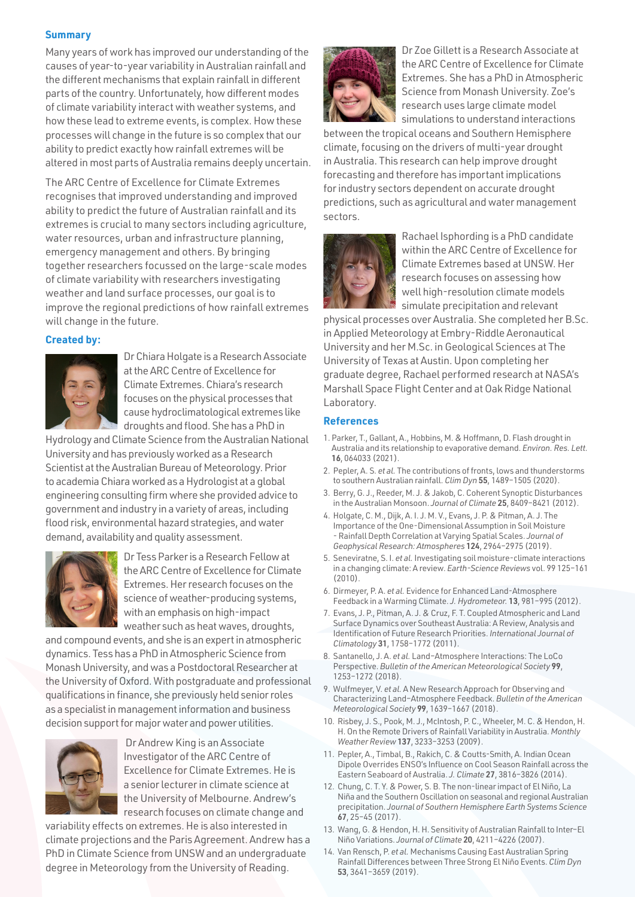## **Summary**

Many years of work has improved our understanding of the causes of year-to-year variability in Australian rainfall and the different mechanisms that explain rainfall in different parts of the country. Unfortunately, how different modes of climate variability interact with weather systems, and how these lead to extreme events, is complex. How these processes will change in the future is so complex that our ability to predict exactly how rainfall extremes will be altered in most parts of Australia remains deeply uncertain.

The ARC Centre of Excellence for Climate Extremes recognises that improved understanding and improved ability to predict the future of Australian rainfall and its extremes is crucial to many sectors including agriculture, water resources, urban and infrastructure planning, emergency management and others. By bringing together researchers focussed on the large-scale modes of climate variability with researchers investigating weather and land surface processes, our goal is to improve the regional predictions of how rainfall extremes will change in the future.

## **Created by:**



Dr Chiara Holgate is a Research Associate at the ARC Centre of Excellence for Climate Extremes. Chiara's research focuses on the physical processes that cause hydroclimatological extremes like droughts and flood. She has a PhD in

Hydrology and Climate Science from the Australian National University and has previously worked as a Research Scientist at the Australian Bureau of Meteorology. Prior to academia Chiara worked as a Hydrologist at a global engineering consulting firm where she provided advice to government and industry in a variety of areas, including flood risk, environmental hazard strategies, and water demand, availability and quality assessment.



Dr Tess Parker is a Research Fellow at the ARC Centre of Excellence for Climate Extremes. Her research focuses on the science of weather-producing systems, with an emphasis on high-impact weather such as heat waves, droughts,

and compound events, and she is an expert in atmospheric dynamics. Tess has a PhD in Atmospheric Science from Monash University, and was a Postdoctoral Researcher at the University of Oxford. With postgraduate and professional qualifications in finance, she previously held senior roles as a specialist in management information and business decision support for major water and power utilities.



 Dr Andrew King is an Associate Investigator of the ARC Centre of Excellence for Climate Extremes. He is a senior lecturer in climate science at the University of Melbourne. Andrew's research focuses on climate change and

variability effects on extremes. He is also interested in climate projections and the Paris Agreement. Andrew has a PhD in Climate Science from UNSW and an undergraduate degree in Meteorology from the University of Reading.



Dr Zoe Gillett is a Research Associate at the ARC Centre of Excellence for Climate Extremes. She has a PhD in Atmospheric Science from Monash University. Zoe's research uses large climate model simulations to understand interactions

between the tropical oceans and Southern Hemisphere climate, focusing on the drivers of multi-year drought in Australia. This research can help improve drought forecasting and therefore has important implications for industry sectors dependent on accurate drought predictions, such as agricultural and water management sectors.



Rachael Isphording is a PhD candidate within the ARC Centre of Excellence for Climate Extremes based at UNSW. Her research focuses on assessing how well high-resolution climate models simulate precipitation and relevant

physical processes over Australia. She completed her B.Sc. in Applied Meteorology at Embry-Riddle Aeronautical University and her M.Sc. in Geological Sciences at The University of Texas at Austin. Upon completing her graduate degree, Rachael performed research at NASA's Marshall Space Flight Center and at Oak Ridge National Laboratory.

### **References**

- 1. Parker, T., Gallant, A., Hobbins, M. & Hoffmann, D. Flash drought in Australia and its relationship to evaporative demand. *Environ. Res. Lett.*  16, 064033 (2021).
- 2. Pepler, A. S. *et al.* The contributions of fronts, lows and thunderstorms to southern Australian rainfall. *Clim Dyn* 55, 1489–1505 (2020).
- 3. Berry, G. J., Reeder, M. J. & Jakob, C. Coherent Synoptic Disturbances in the Australian Monsoon. *Journal of Climate* 25, 8409–8421 (2012).
- 4. Holgate, C. M., Dijk, A. I. J. M. V., Evans, J. P. & Pitman, A. J. The Importance of the One-Dimensional Assumption in Soil Moisture - Rainfall Depth Correlation at Varying Spatial Scales. *Journal of Geophysical Research: Atmospheres* 124, 2964–2975 (2019).
- 5. Seneviratne, S. I. *et al.* Investigating soil moisture-climate interactions in a changing climate: A review. *Earth-Science Reviews* vol. 99 125–161 (2010).
- 6. Dirmeyer, P. A. *et al.* Evidence for Enhanced Land-Atmosphere Feedback in a Warming Climate. *J. Hydrometeor.* 13, 981–995 (2012).
- 7. Evans, J. P., Pitman, A. J. & Cruz, F. T. Coupled Atmospheric and Land Surface Dynamics over Southeast Australia: A Review, Analysis and Identification of Future Research Priorities. *International Journal of Climatology* 31, 1758–1772 (2011).
- 8. Santanello, J. A. *et al.* Land–Atmosphere Interactions: The LoCo Perspective. *Bulletin of the American Meteorological Society* 99, 1253–1272 (2018).
- 9. Wulfmeyer, V. *et al.* A New Research Approach for Observing and Characterizing Land–Atmosphere Feedback. *Bulletin of the American Meteorological Society* 99, 1639–1667 (2018).
- 10. Risbey, J. S., Pook, M. J., McIntosh, P. C., Wheeler, M. C. & Hendon, H. H. On the Remote Drivers of Rainfall Variability in Australia. *Monthly Weather Review* 137, 3233–3253 (2009).
- 11. Pepler, A., Timbal, B., Rakich, C. & Coutts-Smith, A. Indian Ocean Dipole Overrides ENSO's Influence on Cool Season Rainfall across the Eastern Seaboard of Australia. *J. Climate* 27, 3816–3826 (2014).
- 12. Chung, C. T. Y. & Power, S. B. The non-linear impact of El Niño, La Niña and the Southern Oscillation on seasonal and regional Australian precipitation. *Journal of Southern Hemisphere Earth Systems Science*  67, 25–45 (2017).
- 13. Wang, G. & Hendon, H. H. Sensitivity of Australian Rainfall to Inter–El Niño Variations. *Journal of Climate* 20, 4211–4226 (2007).
- 14. Van Rensch, P. *et al.* Mechanisms Causing East Australian Spring Rainfall Differences between Three Strong El Niño Events. *Clim Dyn*  53, 3641–3659 (2019).